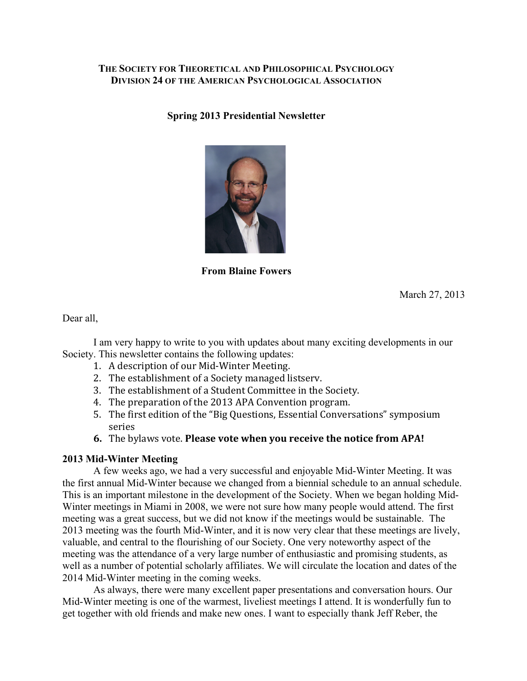# **THE SOCIETY FOR THEORETICAL AND PHILOSOPHICAL PSYCHOLOGY DIVISION 24 OF THE AMERICAN PSYCHOLOGICAL ASSOCIATION**

**Spring 2013 Presidential Newsletter**



**From Blaine Fowers**

March 27, 2013

Dear all,

I am very happy to write to you with updates about many exciting developments in our Society. This newsletter contains the following updates:

- 1. A description of our Mid-Winter Meeting.
- 2. The establishment of a Society managed listserv.
- 3. The establishment of a Student Committee in the Society.
- 4. The preparation of the 2013 APA Convention program.
- 5. The first edition of the "Big Questions, Essential Conversations" symposium series
- **6.** The bylaws vote. **Please vote when you receive the notice from APA!**

## **2013 Mid-Winter Meeting**

A few weeks ago, we had a very successful and enjoyable Mid-Winter Meeting. It was the first annual Mid-Winter because we changed from a biennial schedule to an annual schedule. This is an important milestone in the development of the Society. When we began holding Mid-Winter meetings in Miami in 2008, we were not sure how many people would attend. The first meeting was a great success, but we did not know if the meetings would be sustainable. The 2013 meeting was the fourth Mid-Winter, and it is now very clear that these meetings are lively, valuable, and central to the flourishing of our Society. One very noteworthy aspect of the meeting was the attendance of a very large number of enthusiastic and promising students, as well as a number of potential scholarly affiliates. We will circulate the location and dates of the 2014 Mid-Winter meeting in the coming weeks.

As always, there were many excellent paper presentations and conversation hours. Our Mid-Winter meeting is one of the warmest, liveliest meetings I attend. It is wonderfully fun to get together with old friends and make new ones. I want to especially thank Jeff Reber, the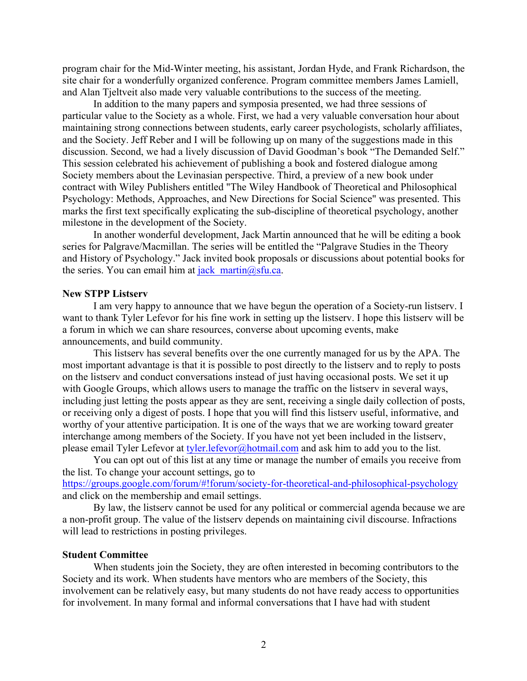program chair for the Mid-Winter meeting, his assistant, Jordan Hyde, and Frank Richardson, the site chair for a wonderfully organized conference. Program committee members James Lamiell, and Alan Tjeltveit also made very valuable contributions to the success of the meeting.

In addition to the many papers and symposia presented, we had three sessions of particular value to the Society as a whole. First, we had a very valuable conversation hour about maintaining strong connections between students, early career psychologists, scholarly affiliates, and the Society. Jeff Reber and I will be following up on many of the suggestions made in this discussion. Second, we had a lively discussion of David Goodman's book "The Demanded Self." This session celebrated his achievement of publishing a book and fostered dialogue among Society members about the Levinasian perspective. Third, a preview of a new book under contract with Wiley Publishers entitled "The Wiley Handbook of Theoretical and Philosophical Psychology: Methods, Approaches, and New Directions for Social Science" was presented. This marks the first text specifically explicating the sub-discipline of theoretical psychology, another milestone in the development of the Society.

In another wonderful development, Jack Martin announced that he will be editing a book series for Palgrave/Macmillan. The series will be entitled the "Palgrave Studies in the Theory and History of Psychology." Jack invited book proposals or discussions about potential books for the series. You can email him at jack martin $@s$ fu.ca.

### **New STPP Listserv**

I am very happy to announce that we have begun the operation of a Society-run listserv. I want to thank Tyler Lefevor for his fine work in setting up the listserv. I hope this listserv will be a forum in which we can share resources, converse about upcoming events, make announcements, and build community.

This listserv has several benefits over the one currently managed for us by the APA. The most important advantage is that it is possible to post directly to the listserv and to reply to posts on the listserv and conduct conversations instead of just having occasional posts. We set it up with Google Groups, which allows users to manage the traffic on the listserv in several ways, including just letting the posts appear as they are sent, receiving a single daily collection of posts, or receiving only a digest of posts. I hope that you will find this listserv useful, informative, and worthy of your attentive participation. It is one of the ways that we are working toward greater interchange among members of the Society. If you have not yet been included in the listserv, please email Tyler Lefevor at tyler.lefevor@hotmail.com and ask him to add you to the list.

You can opt out of this list at any time or manage the number of emails you receive from the list. To change your account settings, go to https://groups.google.com/forum/#!forum/society-for-theoretical-and-philosophical-psychology

and click on the membership and email settings.

By law, the listserv cannot be used for any political or commercial agenda because we are a non-profit group. The value of the listserv depends on maintaining civil discourse. Infractions will lead to restrictions in posting privileges.

## **Student Committee**

When students join the Society, they are often interested in becoming contributors to the Society and its work. When students have mentors who are members of the Society, this involvement can be relatively easy, but many students do not have ready access to opportunities for involvement. In many formal and informal conversations that I have had with student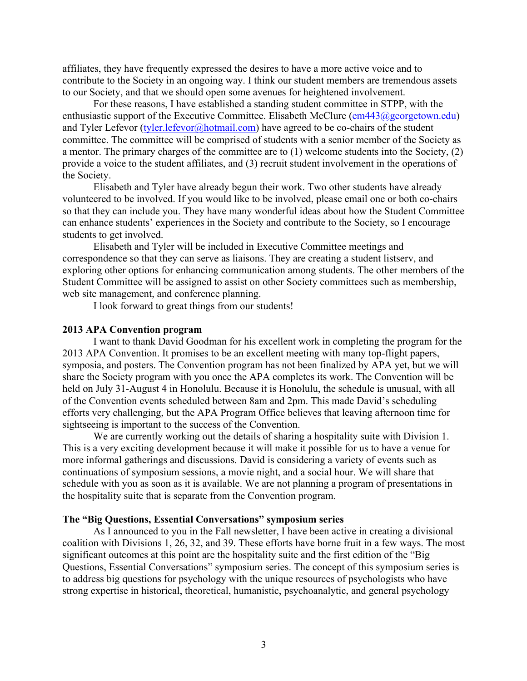affiliates, they have frequently expressed the desires to have a more active voice and to contribute to the Society in an ongoing way. I think our student members are tremendous assets to our Society, and that we should open some avenues for heightened involvement.

For these reasons, I have established a standing student committee in STPP, with the enthusiastic support of the Executive Committee. Elisabeth McClure (em443@georgetown.edu) and Tyler Lefevor  $(ty\leq t)$ . Lefevor  $(a)$  hotmail.com) have agreed to be co-chairs of the student committee. The committee will be comprised of students with a senior member of the Society as a mentor. The primary charges of the committee are to (1) welcome students into the Society, (2) provide a voice to the student affiliates, and (3) recruit student involvement in the operations of the Society.

Elisabeth and Tyler have already begun their work. Two other students have already volunteered to be involved. If you would like to be involved, please email one or both co-chairs so that they can include you. They have many wonderful ideas about how the Student Committee can enhance students' experiences in the Society and contribute to the Society, so I encourage students to get involved.

Elisabeth and Tyler will be included in Executive Committee meetings and correspondence so that they can serve as liaisons. They are creating a student listserv, and exploring other options for enhancing communication among students. The other members of the Student Committee will be assigned to assist on other Society committees such as membership, web site management, and conference planning.

I look forward to great things from our students!

#### **2013 APA Convention program**

I want to thank David Goodman for his excellent work in completing the program for the 2013 APA Convention. It promises to be an excellent meeting with many top-flight papers, symposia, and posters. The Convention program has not been finalized by APA yet, but we will share the Society program with you once the APA completes its work. The Convention will be held on July 31-August 4 in Honolulu. Because it is Honolulu, the schedule is unusual, with all of the Convention events scheduled between 8am and 2pm. This made David's scheduling efforts very challenging, but the APA Program Office believes that leaving afternoon time for sightseeing is important to the success of the Convention.

We are currently working out the details of sharing a hospitality suite with Division 1. This is a very exciting development because it will make it possible for us to have a venue for more informal gatherings and discussions. David is considering a variety of events such as continuations of symposium sessions, a movie night, and a social hour. We will share that schedule with you as soon as it is available. We are not planning a program of presentations in the hospitality suite that is separate from the Convention program.

### **The "Big Questions, Essential Conversations" symposium series**

As I announced to you in the Fall newsletter, I have been active in creating a divisional coalition with Divisions 1, 26, 32, and 39. These efforts have borne fruit in a few ways. The most significant outcomes at this point are the hospitality suite and the first edition of the "Big Questions, Essential Conversations" symposium series. The concept of this symposium series is to address big questions for psychology with the unique resources of psychologists who have strong expertise in historical, theoretical, humanistic, psychoanalytic, and general psychology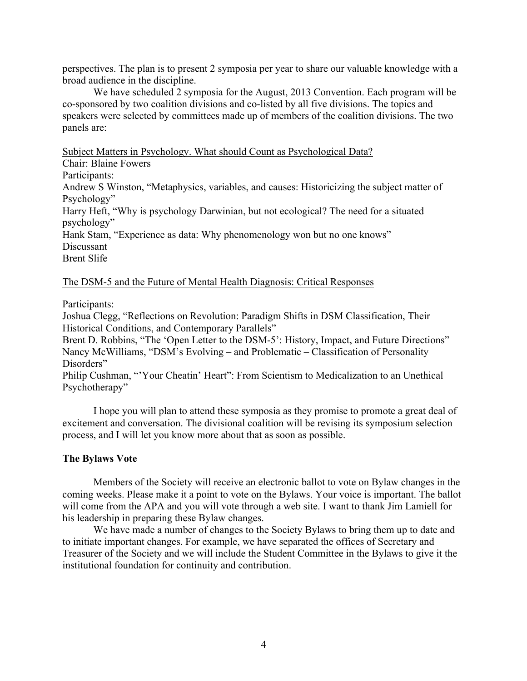perspectives. The plan is to present 2 symposia per year to share our valuable knowledge with a broad audience in the discipline.

We have scheduled 2 symposia for the August, 2013 Convention. Each program will be co-sponsored by two coalition divisions and co-listed by all five divisions. The topics and speakers were selected by committees made up of members of the coalition divisions. The two panels are:

Subject Matters in Psychology. What should Count as Psychological Data?

Chair: Blaine Fowers

Participants:

Andrew S Winston, "Metaphysics, variables, and causes: Historicizing the subject matter of Psychology"

Harry Heft, "Why is psychology Darwinian, but not ecological? The need for a situated psychology"

Hank Stam, "Experience as data: Why phenomenology won but no one knows" Discussant

Brent Slife

## The DSM-5 and the Future of Mental Health Diagnosis: Critical Responses

Participants:

Joshua Clegg, "Reflections on Revolution: Paradigm Shifts in DSM Classification, Their Historical Conditions, and Contemporary Parallels"

Brent D. Robbins, "The 'Open Letter to the DSM-5': History, Impact, and Future Directions" Nancy McWilliams, "DSM's Evolving – and Problematic – Classification of Personality Disorders"

Philip Cushman, "'Your Cheatin' Heart": From Scientism to Medicalization to an Unethical Psychotherapy"

I hope you will plan to attend these symposia as they promise to promote a great deal of excitement and conversation. The divisional coalition will be revising its symposium selection process, and I will let you know more about that as soon as possible.

## **The Bylaws Vote**

Members of the Society will receive an electronic ballot to vote on Bylaw changes in the coming weeks. Please make it a point to vote on the Bylaws. Your voice is important. The ballot will come from the APA and you will vote through a web site. I want to thank Jim Lamiell for his leadership in preparing these Bylaw changes.

We have made a number of changes to the Society Bylaws to bring them up to date and to initiate important changes. For example, we have separated the offices of Secretary and Treasurer of the Society and we will include the Student Committee in the Bylaws to give it the institutional foundation for continuity and contribution.